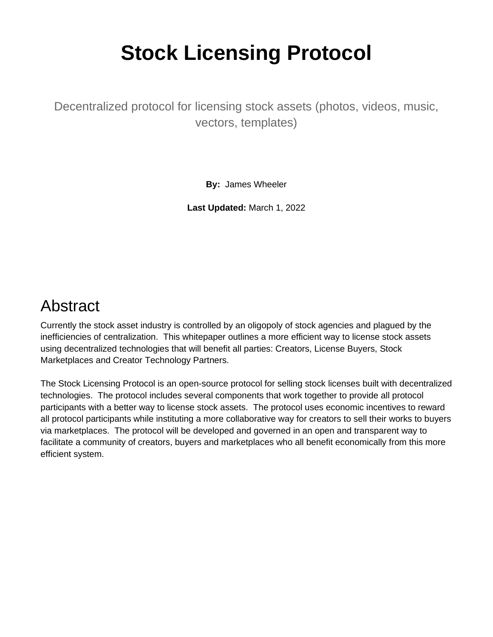# **Stock Licensing Protocol**

Decentralized protocol for licensing stock assets (photos, videos, music, vectors, templates)

**By:** James Wheeler

**Last Updated:** March 1, 2022

# Abstract

Currently the stock asset industry is controlled by an oligopoly of stock agencies and plagued by the inefficiencies of centralization. This whitepaper outlines a more efficient way to license stock assets using decentralized technologies that will benefit all parties: Creators, License Buyers, Stock Marketplaces and Creator Technology Partners.

The Stock Licensing Protocol is an open-source protocol for selling stock licenses built with decentralized technologies. The protocol includes several components that work together to provide all protocol participants with a better way to license stock assets. The protocol uses economic incentives to reward all protocol participants while instituting a more collaborative way for creators to sell their works to buyers via marketplaces. The protocol will be developed and governed in an open and transparent way to facilitate a community of creators, buyers and marketplaces who all benefit economically from this more efficient system.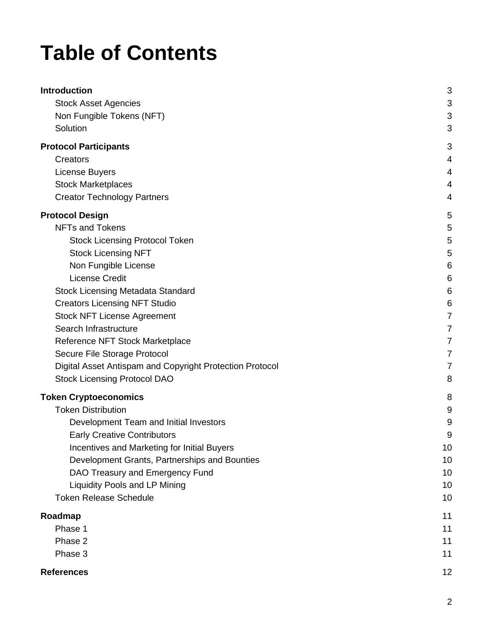# **Table of Contents**

| <b>Introduction</b>                                      | 3  |
|----------------------------------------------------------|----|
| <b>Stock Asset Agencies</b>                              | 3  |
| Non Fungible Tokens (NFT)                                | 3  |
| Solution                                                 | 3  |
| <b>Protocol Participants</b>                             | 3  |
| Creators                                                 | 4  |
| License Buyers                                           | 4  |
| <b>Stock Marketplaces</b>                                | 4  |
| <b>Creator Technology Partners</b>                       | 4  |
| <b>Protocol Design</b>                                   | 5  |
| <b>NFTs and Tokens</b>                                   | 5  |
| <b>Stock Licensing Protocol Token</b>                    | 5  |
| <b>Stock Licensing NFT</b>                               | 5  |
| Non Fungible License                                     | 6  |
| <b>License Credit</b>                                    | 6  |
| <b>Stock Licensing Metadata Standard</b>                 | 6  |
| <b>Creators Licensing NFT Studio</b>                     | 6  |
| <b>Stock NFT License Agreement</b>                       | 7  |
| Search Infrastructure                                    | 7  |
| Reference NFT Stock Marketplace                          | 7  |
| Secure File Storage Protocol                             | 7  |
| Digital Asset Antispam and Copyright Protection Protocol | 7  |
| <b>Stock Licensing Protocol DAO</b>                      | 8  |
| <b>Token Cryptoeconomics</b>                             | 8  |
| <b>Token Distribution</b>                                | 9  |
| Development Team and Initial Investors                   | 9  |
| <b>Early Creative Contributors</b>                       | 9  |
| Incentives and Marketing for Initial Buyers              | 10 |
| Development Grants, Partnerships and Bounties            | 10 |
| DAO Treasury and Emergency Fund                          | 10 |
| <b>Liquidity Pools and LP Mining</b>                     | 10 |
| <b>Token Release Schedule</b>                            | 10 |
| Roadmap                                                  | 11 |
| Phase 1                                                  | 11 |
| Phase 2                                                  | 11 |
| Phase 3                                                  | 11 |
| <b>References</b>                                        | 12 |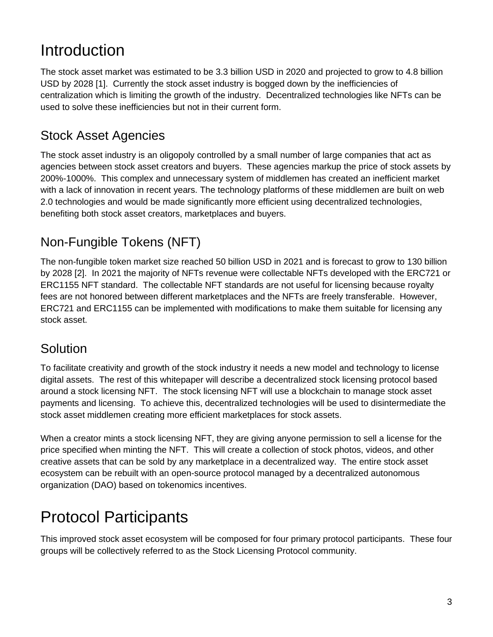# <span id="page-2-0"></span>Introduction

The stock asset market was estimated to be 3.3 billion USD in 2020 and projected to grow to 4.8 billion USD by 2028 [1]. Currently the stock asset industry is bogged down by the inefficiencies of centralization which is limiting the growth of the industry. Decentralized technologies like NFTs can be used to solve these inefficiencies but not in their current form.

### <span id="page-2-1"></span>Stock Asset Agencies

The stock asset industry is an oligopoly controlled by a small number of large companies that act as agencies between stock asset creators and buyers. These agencies markup the price of stock assets by 200%-1000%. This complex and unnecessary system of middlemen has created an inefficient market with a lack of innovation in recent years. The technology platforms of these middlemen are built on web 2.0 technologies and would be made significantly more efficient using decentralized technologies, benefiting both stock asset creators, marketplaces and buyers.

# <span id="page-2-2"></span>Non-Fungible Tokens (NFT)

The non-fungible token market size reached 50 billion USD in 2021 and is forecast to grow to 130 billion by 2028 [2]. In 2021 the majority of NFTs revenue were collectable NFTs developed with the ERC721 or ERC1155 NFT standard. The collectable NFT standards are not useful for licensing because royalty fees are not honored between different marketplaces and the NFTs are freely transferable. However, ERC721 and ERC1155 can be implemented with modifications to make them suitable for licensing any stock asset.

#### <span id="page-2-3"></span>**Solution**

To facilitate creativity and growth of the stock industry it needs a new model and technology to license digital assets. The rest of this whitepaper will describe a decentralized stock licensing protocol based around a stock licensing NFT. The stock licensing NFT will use a blockchain to manage stock asset payments and licensing. To achieve this, decentralized technologies will be used to disintermediate the stock asset middlemen creating more efficient marketplaces for stock assets.

When a creator mints a stock licensing NFT, they are giving anyone permission to sell a license for the price specified when minting the NFT. This will create a collection of stock photos, videos, and other creative assets that can be sold by any marketplace in a decentralized way. The entire stock asset ecosystem can be rebuilt with an open-source protocol managed by a decentralized autonomous organization (DAO) based on tokenomics incentives.

# <span id="page-2-4"></span>Protocol Participants

This improved stock asset ecosystem will be composed for four primary protocol participants. These four groups will be collectively referred to as the Stock Licensing Protocol community.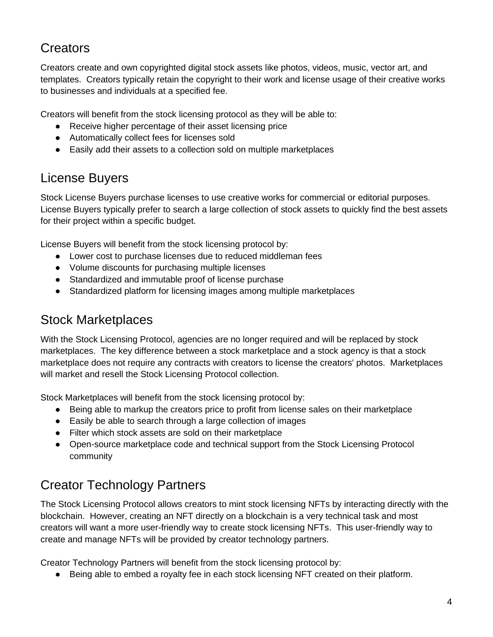### <span id="page-3-0"></span>**Creators**

Creators create and own copyrighted digital stock assets like photos, videos, music, vector art, and templates. Creators typically retain the copyright to their work and license usage of their creative works to businesses and individuals at a specified fee.

Creators will benefit from the stock licensing protocol as they will be able to:

- Receive higher percentage of their asset licensing price
- Automatically collect fees for licenses sold
- Easily add their assets to a collection sold on multiple marketplaces

#### <span id="page-3-1"></span>License Buyers

Stock License Buyers purchase licenses to use creative works for commercial or editorial purposes. License Buyers typically prefer to search a large collection of stock assets to quickly find the best assets for their project within a specific budget.

License Buyers will benefit from the stock licensing protocol by:

- Lower cost to purchase licenses due to reduced middleman fees
- Volume discounts for purchasing multiple licenses
- Standardized and immutable proof of license purchase
- Standardized platform for licensing images among multiple marketplaces

#### <span id="page-3-2"></span>Stock Marketplaces

With the Stock Licensing Protocol, agencies are no longer required and will be replaced by stock marketplaces. The key difference between a stock marketplace and a stock agency is that a stock marketplace does not require any contracts with creators to license the creators' photos. Marketplaces will market and resell the Stock Licensing Protocol collection.

Stock Marketplaces will benefit from the stock licensing protocol by:

- Being able to markup the creators price to profit from license sales on their marketplace
- Easily be able to search through a large collection of images
- Filter which stock assets are sold on their marketplace
- Open-source marketplace code and technical support from the Stock Licensing Protocol community

# <span id="page-3-3"></span>Creator Technology Partners

The Stock Licensing Protocol allows creators to mint stock licensing NFTs by interacting directly with the blockchain. However, creating an NFT directly on a blockchain is a very technical task and most creators will want a more user-friendly way to create stock licensing NFTs. This user-friendly way to create and manage NFTs will be provided by creator technology partners.

Creator Technology Partners will benefit from the stock licensing protocol by:

● Being able to embed a royalty fee in each stock licensing NFT created on their platform.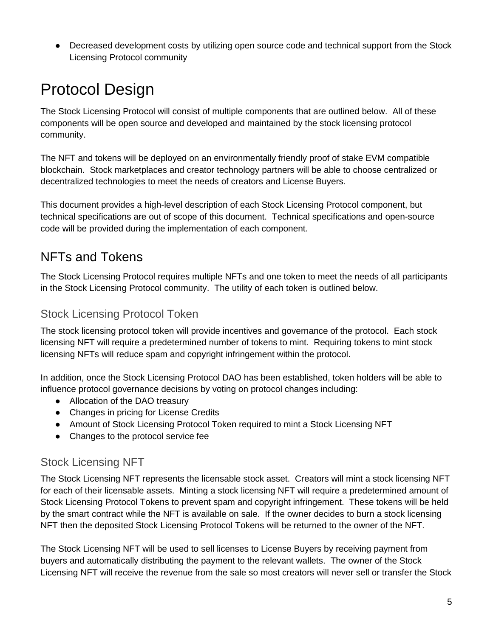• Decreased development costs by utilizing open source code and technical support from the Stock Licensing Protocol community

# <span id="page-4-0"></span>Protocol Design

The Stock Licensing Protocol will consist of multiple components that are outlined below. All of these components will be open source and developed and maintained by the stock licensing protocol community.

The NFT and tokens will be deployed on an environmentally friendly proof of stake EVM compatible blockchain. Stock marketplaces and creator technology partners will be able to choose centralized or decentralized technologies to meet the needs of creators and License Buyers.

This document provides a high-level description of each Stock Licensing Protocol component, but technical specifications are out of scope of this document. Technical specifications and open-source code will be provided during the implementation of each component.

### <span id="page-4-1"></span>NFTs and Tokens

The Stock Licensing Protocol requires multiple NFTs and one token to meet the needs of all participants in the Stock Licensing Protocol community. The utility of each token is outlined below.

#### <span id="page-4-2"></span>Stock Licensing Protocol Token

The stock licensing protocol token will provide incentives and governance of the protocol. Each stock licensing NFT will require a predetermined number of tokens to mint. Requiring tokens to mint stock licensing NFTs will reduce spam and copyright infringement within the protocol.

In addition, once the Stock Licensing Protocol DAO has been established, token holders will be able to influence protocol governance decisions by voting on protocol changes including:

- Allocation of the DAO treasury
- Changes in pricing for License Credits
- Amount of Stock Licensing Protocol Token required to mint a Stock Licensing NFT
- Changes to the protocol service fee

#### <span id="page-4-3"></span>Stock Licensing NFT

The Stock Licensing NFT represents the licensable stock asset. Creators will mint a stock licensing NFT for each of their licensable assets. Minting a stock licensing NFT will require a predetermined amount of Stock Licensing Protocol Tokens to prevent spam and copyright infringement. These tokens will be held by the smart contract while the NFT is available on sale. If the owner decides to burn a stock licensing NFT then the deposited Stock Licensing Protocol Tokens will be returned to the owner of the NFT.

The Stock Licensing NFT will be used to sell licenses to License Buyers by receiving payment from buyers and automatically distributing the payment to the relevant wallets. The owner of the Stock Licensing NFT will receive the revenue from the sale so most creators will never sell or transfer the Stock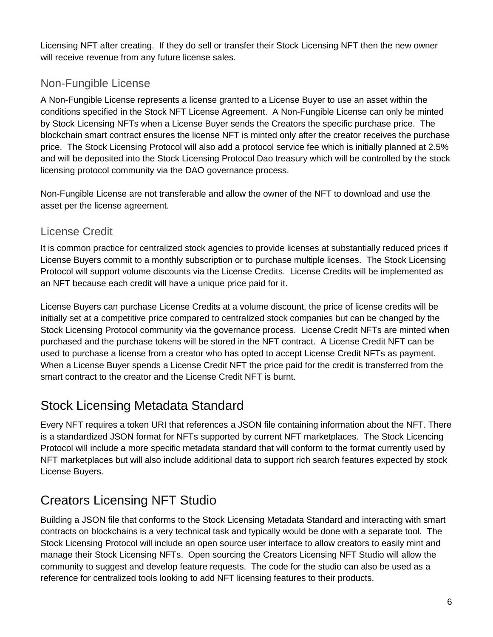Licensing NFT after creating. If they do sell or transfer their Stock Licensing NFT then the new owner will receive revenue from any future license sales.

#### <span id="page-5-0"></span>Non-Fungible License

A Non-Fungible License represents a license granted to a License Buyer to use an asset within the conditions specified in the Stock NFT License Agreement. A Non-Fungible License can only be minted by Stock Licensing NFTs when a License Buyer sends the Creators the specific purchase price. The blockchain smart contract ensures the license NFT is minted only after the creator receives the purchase price. The Stock Licensing Protocol will also add a protocol service fee which is initially planned at 2.5% and will be deposited into the Stock Licensing Protocol Dao treasury which will be controlled by the stock licensing protocol community via the DAO governance process.

Non-Fungible License are not transferable and allow the owner of the NFT to download and use the asset per the license agreement.

#### <span id="page-5-1"></span>License Credit

It is common practice for centralized stock agencies to provide licenses at substantially reduced prices if License Buyers commit to a monthly subscription or to purchase multiple licenses. The Stock Licensing Protocol will support volume discounts via the License Credits. License Credits will be implemented as an NFT because each credit will have a unique price paid for it.

License Buyers can purchase License Credits at a volume discount, the price of license credits will be initially set at a competitive price compared to centralized stock companies but can be changed by the Stock Licensing Protocol community via the governance process. License Credit NFTs are minted when purchased and the purchase tokens will be stored in the NFT contract. A License Credit NFT can be used to purchase a license from a creator who has opted to accept License Credit NFTs as payment. When a License Buyer spends a License Credit NFT the price paid for the credit is transferred from the smart contract to the creator and the License Credit NFT is burnt.

#### <span id="page-5-2"></span>Stock Licensing Metadata Standard

Every NFT requires a token URI that references a JSON file containing information about the NFT. There is a standardized JSON format for NFTs supported by current NFT marketplaces. The Stock Licencing Protocol will include a more specific metadata standard that will conform to the format currently used by NFT marketplaces but will also include additional data to support rich search features expected by stock License Buyers.

# <span id="page-5-3"></span>Creators Licensing NFT Studio

Building a JSON file that conforms to the Stock Licensing Metadata Standard and interacting with smart contracts on blockchains is a very technical task and typically would be done with a separate tool. The Stock Licensing Protocol will include an open source user interface to allow creators to easily mint and manage their Stock Licensing NFTs. Open sourcing the Creators Licensing NFT Studio will allow the community to suggest and develop feature requests. The code for the studio can also be used as a reference for centralized tools looking to add NFT licensing features to their products.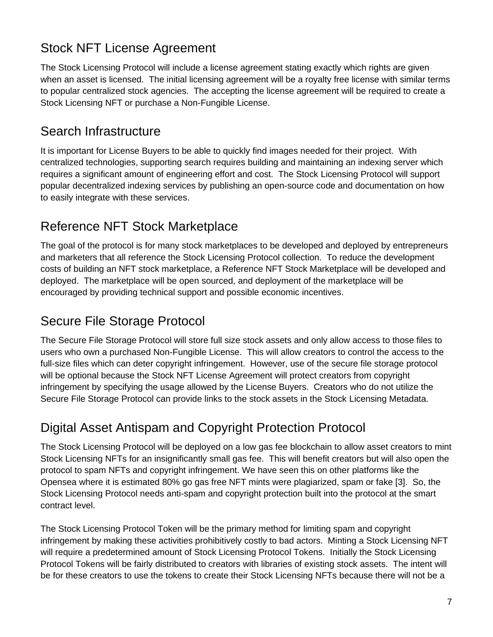## <span id="page-6-0"></span>Stock NFT License Agreement

The Stock Licensing Protocol will include a license agreement stating exactly which rights are given when an asset is licensed. The initial licensing agreement will be a royalty free license with similar terms to popular centralized stock agencies. The accepting the license agreement will be required to create a Stock Licensing NFT or purchase a Non-Fungible License.

#### <span id="page-6-1"></span>Search Infrastructure

It is important for License Buyers to be able to quickly find images needed for their project. With centralized technologies, supporting search requires building and maintaining an indexing server which requires a significant amount of engineering effort and cost. The Stock Licensing Protocol will support popular decentralized indexing services by publishing an open-source code and documentation on how to easily integrate with these services.

### <span id="page-6-2"></span>Reference NFT Stock Marketplace

The goal of the protocol is for many stock marketplaces to be developed and deployed by entrepreneurs and marketers that all reference the Stock Licensing Protocol collection. To reduce the development costs of building an NFT stock marketplace, a Reference NFT Stock Marketplace will be developed and deployed. The marketplace will be open sourced, and deployment of the marketplace will be encouraged by providing technical support and possible economic incentives.

#### <span id="page-6-3"></span>Secure File Storage Protocol

The Secure File Storage Protocol will store full size stock assets and only allow access to those files to users who own a purchased Non-Fungible License. This will allow creators to control the access to the full-size files which can deter copyright infringement. However, use of the secure file storage protocol will be optional because the Stock NFT License Agreement will protect creators from copyright infringement by specifying the usage allowed by the License Buyers. Creators who do not utilize the Secure File Storage Protocol can provide links to the stock assets in the Stock Licensing Metadata.

# <span id="page-6-4"></span>Digital Asset Antispam and Copyright Protection Protocol

The Stock Licensing Protocol will be deployed on a low gas fee blockchain to allow asset creators to mint Stock Licensing NFTs for an insignificantly small gas fee. This will benefit creators but will also open the protocol to spam NFTs and copyright infringement. We have seen this on other platforms like the Opensea where it is estimated 80% go gas free NFT mints were plagiarized, spam or fake [3]. So, the Stock Licensing Protocol needs anti-spam and copyright protection built into the protocol at the smart contract level.

The Stock Licensing Protocol Token will be the primary method for limiting spam and copyright infringement by making these activities prohibitively costly to bad actors. Minting a Stock Licensing NFT will require a predetermined amount of Stock Licensing Protocol Tokens. Initially the Stock Licensing Protocol Tokens will be fairly distributed to creators with libraries of existing stock assets. The intent will be for these creators to use the tokens to create their Stock Licensing NFTs because there will not be a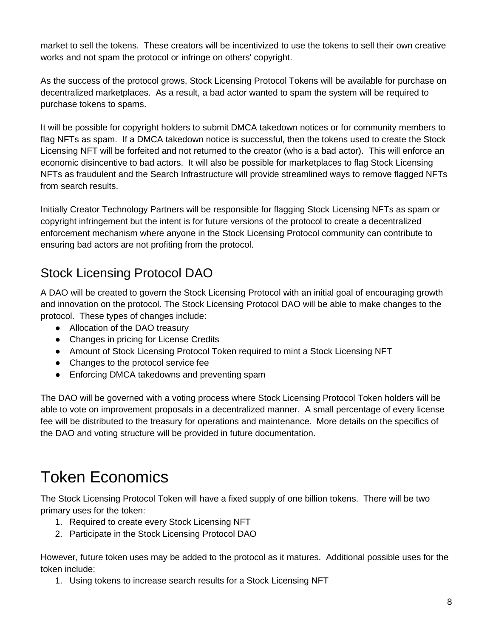market to sell the tokens. These creators will be incentivized to use the tokens to sell their own creative works and not spam the protocol or infringe on others' copyright.

As the success of the protocol grows, Stock Licensing Protocol Tokens will be available for purchase on decentralized marketplaces. As a result, a bad actor wanted to spam the system will be required to purchase tokens to spams.

It will be possible for copyright holders to submit DMCA takedown notices or for community members to flag NFTs as spam. If a DMCA takedown notice is successful, then the tokens used to create the Stock Licensing NFT will be forfeited and not returned to the creator (who is a bad actor). This will enforce an economic disincentive to bad actors. It will also be possible for marketplaces to flag Stock Licensing NFTs as fraudulent and the Search Infrastructure will provide streamlined ways to remove flagged NFTs from search results.

Initially Creator Technology Partners will be responsible for flagging Stock Licensing NFTs as spam or copyright infringement but the intent is for future versions of the protocol to create a decentralized enforcement mechanism where anyone in the Stock Licensing Protocol community can contribute to ensuring bad actors are not profiting from the protocol.

# <span id="page-7-0"></span>Stock Licensing Protocol DAO

A DAO will be created to govern the Stock Licensing Protocol with an initial goal of encouraging growth and innovation on the protocol. The Stock Licensing Protocol DAO will be able to make changes to the protocol. These types of changes include:

- Allocation of the DAO treasury
- Changes in pricing for License Credits
- Amount of Stock Licensing Protocol Token required to mint a Stock Licensing NFT
- Changes to the protocol service fee
- Enforcing DMCA takedowns and preventing spam

The DAO will be governed with a voting process where Stock Licensing Protocol Token holders will be able to vote on improvement proposals in a decentralized manner. A small percentage of every license fee will be distributed to the treasury for operations and maintenance. More details on the specifics of the DAO and voting structure will be provided in future documentation.

# <span id="page-7-1"></span>Token Economics

The Stock Licensing Protocol Token will have a fixed supply of one billion tokens. There will be two primary uses for the token:

- 1. Required to create every Stock Licensing NFT
- 2. Participate in the Stock Licensing Protocol DAO

However, future token uses may be added to the protocol as it matures. Additional possible uses for the token include:

1. Using tokens to increase search results for a Stock Licensing NFT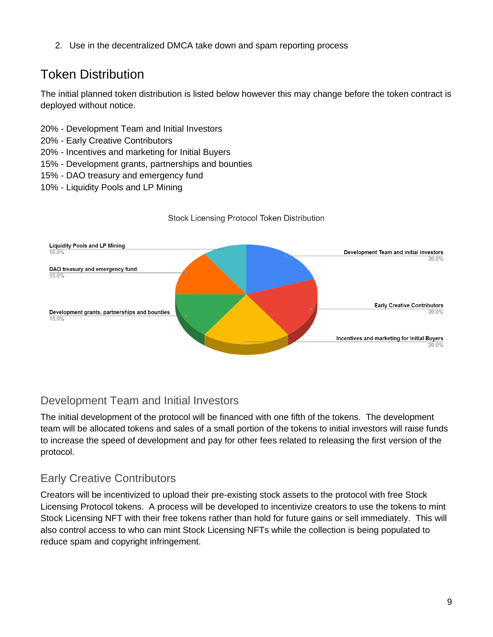2. Use in the decentralized DMCA take down and spam reporting process

# <span id="page-8-0"></span>Token Distribution

The initial planned token distribution is listed below however this may change before the token contract is deployed without notice.

- 20% Development Team and Initial Investors
- 20% Early Creative Contributors
- 20% Incentives and marketing for Initial Buyers
- 15% Development grants, partnerships and bounties
- 15% DAO treasury and emergency fund
- 10% Liquidity Pools and LP Mining



#### Stock Licensing Protocol Token Distribution

#### <span id="page-8-1"></span>Development Team and Initial Investors

The initial development of the protocol will be financed with one fifth of the tokens. The development team will be allocated tokens and sales of a small portion of the tokens to initial investors will raise funds to increase the speed of development and pay for other fees related to releasing the first version of the protocol.

#### <span id="page-8-2"></span>Early Creative Contributors

Creators will be incentivized to upload their pre-existing stock assets to the protocol with free Stock Licensing Protocol tokens. A process will be developed to incentivize creators to use the tokens to mint Stock Licensing NFT with their free tokens rather than hold for future gains or sell immediately. This will also control access to who can mint Stock Licensing NFTs while the collection is being populated to reduce spam and copyright infringement.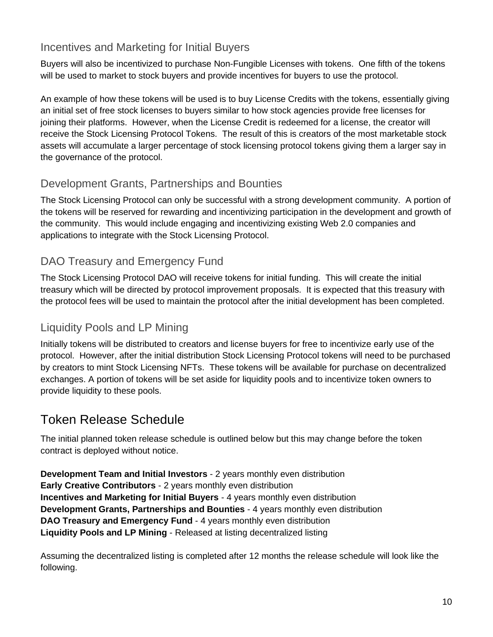#### <span id="page-9-0"></span>Incentives and Marketing for Initial Buyers

Buyers will also be incentivized to purchase Non-Fungible Licenses with tokens. One fifth of the tokens will be used to market to stock buyers and provide incentives for buyers to use the protocol.

An example of how these tokens will be used is to buy License Credits with the tokens, essentially giving an initial set of free stock licenses to buyers similar to how stock agencies provide free licenses for joining their platforms. However, when the License Credit is redeemed for a license, the creator will receive the Stock Licensing Protocol Tokens. The result of this is creators of the most marketable stock assets will accumulate a larger percentage of stock licensing protocol tokens giving them a larger say in the governance of the protocol.

#### <span id="page-9-1"></span>Development Grants, Partnerships and Bounties

The Stock Licensing Protocol can only be successful with a strong development community. A portion of the tokens will be reserved for rewarding and incentivizing participation in the development and growth of the community. This would include engaging and incentivizing existing Web 2.0 companies and applications to integrate with the Stock Licensing Protocol.

#### <span id="page-9-2"></span>DAO Treasury and Emergency Fund

The Stock Licensing Protocol DAO will receive tokens for initial funding. This will create the initial treasury which will be directed by protocol improvement proposals. It is expected that this treasury with the protocol fees will be used to maintain the protocol after the initial development has been completed.

#### <span id="page-9-3"></span>Liquidity Pools and LP Mining

Initially tokens will be distributed to creators and license buyers for free to incentivize early use of the protocol. However, after the initial distribution Stock Licensing Protocol tokens will need to be purchased by creators to mint Stock Licensing NFTs. These tokens will be available for purchase on decentralized exchanges. A portion of tokens will be set aside for liquidity pools and to incentivize token owners to provide liquidity to these pools.

#### <span id="page-9-4"></span>Token Release Schedule

The initial planned token release schedule is outlined below but this may change before the token contract is deployed without notice.

**Development Team and Initial Investors** - 2 years monthly even distribution **Early Creative Contributors** - 2 years monthly even distribution **Incentives and Marketing for Initial Buyers** - 4 years monthly even distribution **Development Grants, Partnerships and Bounties** - 4 years monthly even distribution **DAO Treasury and Emergency Fund** - 4 years monthly even distribution **Liquidity Pools and LP Mining** - Released at listing decentralized listing

Assuming the decentralized listing is completed after 12 months the release schedule will look like the following.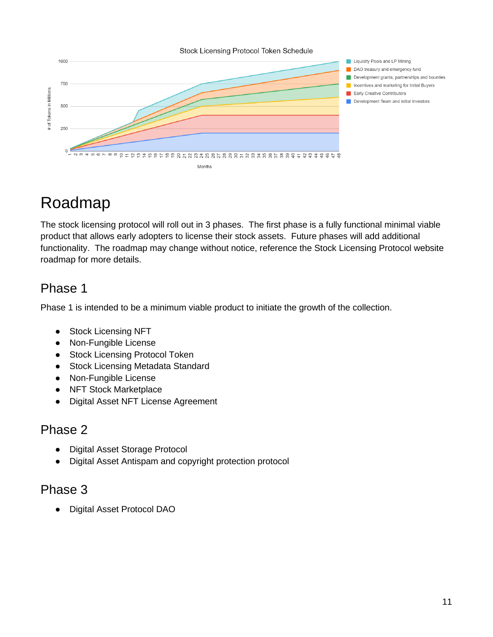

# <span id="page-10-0"></span>Roadmap

The stock licensing protocol will roll out in 3 phases. The first phase is a fully functional minimal viable product that allows early adopters to license their stock assets. Future phases will add additional functionality. The roadmap may change without notice, reference the Stock Licensing Protocol website roadmap for more details.

# <span id="page-10-1"></span>Phase 1

Phase 1 is intended to be a minimum viable product to initiate the growth of the collection.

- Stock Licensing NFT
- Non-Fungible License
- Stock Licensing Protocol Token
- Stock Licensing Metadata Standard
- Non-Fungible License
- NFT Stock Marketplace
- Digital Asset NFT License Agreement

#### <span id="page-10-2"></span>Phase 2

- Digital Asset Storage Protocol
- Digital Asset Antispam and copyright protection protocol

#### <span id="page-10-3"></span>Phase 3

● Digital Asset Protocol DAO